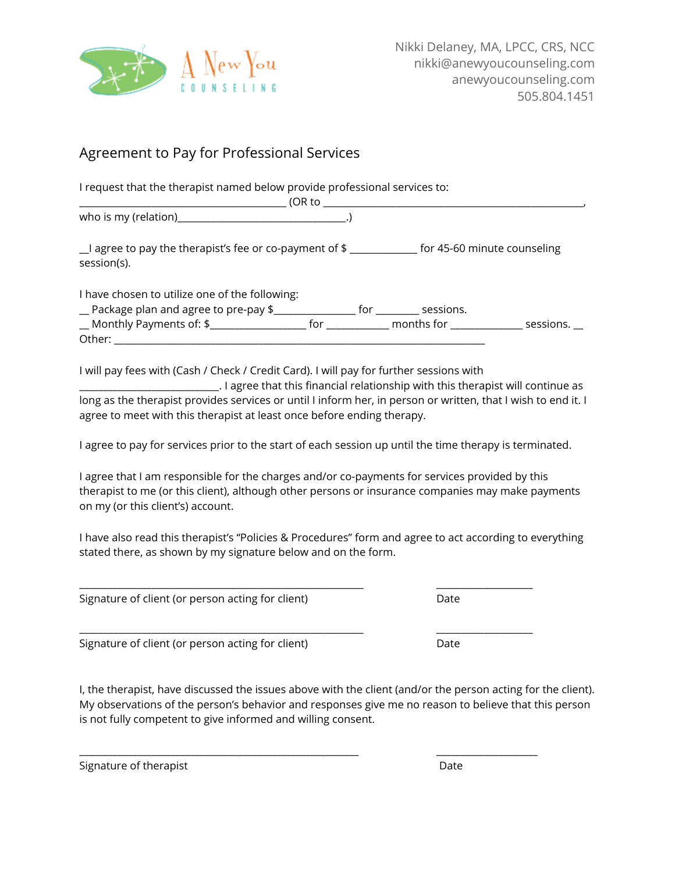

## Agreement to Pay for Professional Services

I request that the therapist named below provide professional services to: \_\_\_\_\_\_\_\_\_\_\_\_\_\_\_\_\_\_\_\_\_\_\_\_\_\_\_\_\_\_\_\_\_\_\_\_\_\_\_\_\_\_\_ (OR to \_\_\_\_\_\_\_\_\_\_\_\_\_\_\_\_\_\_\_\_\_\_\_\_\_\_\_\_\_\_\_\_\_\_\_\_\_\_\_\_\_\_\_\_\_\_\_\_\_\_\_\_\_\_, who is my (relation)\_\_\_\_\_\_\_\_\_\_\_\_\_\_\_\_\_\_\_\_\_\_\_\_\_\_\_\_\_\_\_\_\_\_\_.) \_\_I agree to pay the therapist's fee or co-payment of \$ \_\_\_\_\_\_\_\_\_\_\_\_\_\_ for 45-60 minute counseling session(s). I have chosen to utilize one of the following: \_\_ Package plan and agree to pre-pay \$\_\_\_\_\_\_\_\_\_\_\_\_\_\_\_\_\_ for \_\_\_\_\_\_\_\_\_ sessions. \_\_ Monthly Payments of: \$\_\_\_\_\_\_\_\_\_\_\_\_\_\_\_\_\_\_\_\_ for \_\_\_\_\_\_\_\_\_\_\_\_\_ months for \_\_\_\_\_\_\_\_\_\_\_\_\_\_\_ sessions. \_\_ Other: \_\_\_\_\_\_\_\_\_\_\_\_\_\_\_\_\_\_\_\_\_\_\_\_\_\_\_\_\_\_\_\_\_\_\_\_\_\_\_\_\_\_\_\_\_\_\_\_\_\_\_\_\_\_\_\_\_\_\_\_\_\_\_\_\_\_\_\_\_\_\_\_\_\_\_\_\_

I will pay fees with (Cash / Check / Credit Card). I will pay for further sessions with

\_\_\_\_\_\_\_\_\_\_\_\_\_\_\_\_\_\_\_\_\_\_\_\_\_\_\_\_\_. I agree that this financial relationship with this therapist will continue as long as the therapist provides services or until I inform her, in person or written, that I wish to end it. I agree to meet with this therapist at least once before ending therapy.

I agree to pay for services prior to the start of each session up until the time therapy is terminated.

I agree that I am responsible for the charges and/or co-payments for services provided by this therapist to me (or this client), although other persons or insurance companies may make payments on my (or this client's) account.

I have also read this therapist's "Policies & Procedures" form and agree to act according to everything stated there, as shown by my signature below and on the form.

\_\_\_\_\_\_\_\_\_\_\_\_\_\_\_\_\_\_\_\_\_\_\_\_\_\_\_\_\_\_\_\_\_\_\_\_\_\_\_\_\_\_\_\_\_\_\_\_\_\_\_\_\_\_\_\_\_\_\_ \_\_\_\_\_\_\_\_\_\_\_\_\_\_\_\_\_\_\_\_

\_\_\_\_\_\_\_\_\_\_\_\_\_\_\_\_\_\_\_\_\_\_\_\_\_\_\_\_\_\_\_\_\_\_\_\_\_\_\_\_\_\_\_\_\_\_\_\_\_\_\_\_\_\_\_\_\_\_\_ \_\_\_\_\_\_\_\_\_\_\_\_\_\_\_\_\_\_\_\_

\_\_\_\_\_\_\_\_\_\_\_\_\_\_\_\_\_\_\_\_\_\_\_\_\_\_\_\_\_\_\_\_\_\_\_\_\_\_\_\_\_\_\_\_\_\_\_\_\_\_\_\_\_\_\_\_\_\_ \_\_\_\_\_\_\_\_\_\_\_\_\_\_\_\_\_\_\_\_\_

Signature of client (or person acting for client) Date

Signature of client (or person acting for client) Date

I, the therapist, have discussed the issues above with the client (and/or the person acting for the client). My observations of the person's behavior and responses give me no reason to believe that this person is not fully competent to give informed and willing consent.

| Signature of therapist | Date |
|------------------------|------|
|                        |      |